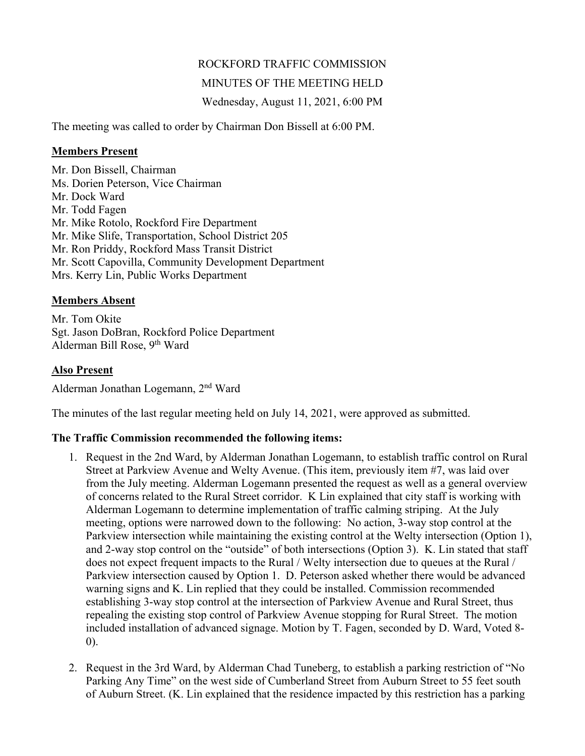# ROCKFORD TRAFFIC COMMISSION

### MINUTES OF THE MEETING HELD

Wednesday, August 11, 2021, 6:00 PM

The meeting was called to order by Chairman Don Bissell at 6:00 PM.

### **Members Present**

Mr. Don Bissell, Chairman Ms. Dorien Peterson, Vice Chairman Mr. Dock Ward Mr. Todd Fagen Mr. Mike Rotolo, Rockford Fire Department Mr. Mike Slife, Transportation, School District 205 Mr. Ron Priddy, Rockford Mass Transit District Mr. Scott Capovilla, Community Development Department Mrs. Kerry Lin, Public Works Department

## **Members Absent**

Mr. Tom Okite Sgt. Jason DoBran, Rockford Police Department Alderman Bill Rose, 9<sup>th</sup> Ward

# **Also Present**

Alderman Jonathan Logemann, 2nd Ward

The minutes of the last regular meeting held on July 14, 2021, were approved as submitted.

## **The Traffic Commission recommended the following items:**

- 1. Request in the 2nd Ward, by Alderman Jonathan Logemann, to establish traffic control on Rural Street at Parkview Avenue and Welty Avenue. (This item, previously item #7, was laid over from the July meeting. Alderman Logemann presented the request as well as a general overview of concerns related to the Rural Street corridor. K Lin explained that city staff is working with Alderman Logemann to determine implementation of traffic calming striping. At the July meeting, options were narrowed down to the following: No action, 3-way stop control at the Parkview intersection while maintaining the existing control at the Welty intersection (Option 1), and 2-way stop control on the "outside" of both intersections (Option 3). K. Lin stated that staff does not expect frequent impacts to the Rural / Welty intersection due to queues at the Rural / Parkview intersection caused by Option 1. D. Peterson asked whether there would be advanced warning signs and K. Lin replied that they could be installed. Commission recommended establishing 3-way stop control at the intersection of Parkview Avenue and Rural Street, thus repealing the existing stop control of Parkview Avenue stopping for Rural Street. The motion included installation of advanced signage. Motion by T. Fagen, seconded by D. Ward, Voted 8- 0).
- 2. Request in the 3rd Ward, by Alderman Chad Tuneberg, to establish a parking restriction of "No Parking Any Time" on the west side of Cumberland Street from Auburn Street to 55 feet south of Auburn Street. (K. Lin explained that the residence impacted by this restriction has a parking